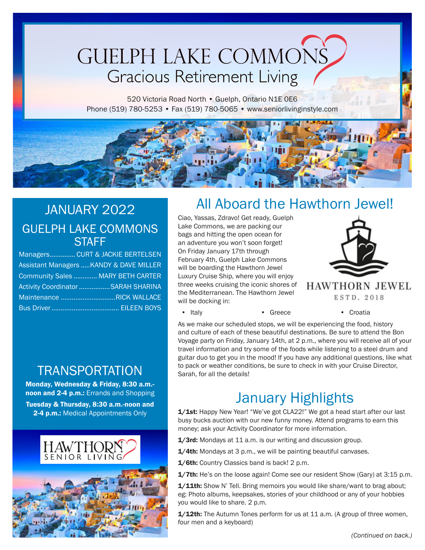# **GUELPH LAKE COMMONS Gracious Retirement Living**

520 Victoria Road North · Guelph, Ontario N1E OE6 Phone (519) 780-5253 • Fax (519) 780-5065 • www.seniorlivinginstyle.com

### JANUARY 2022 GUELPH LAKE COMMONS **STAFF**

| Managers CURT & JACKIE BERTELSEN                   |
|----------------------------------------------------|
| <b>Assistant Managers  KANDY &amp; DAVE MILLER</b> |
| Community Sales  MARY BETH CARTER                  |
| Activity Coordinator SARAH SHARINA                 |
| Maintenance RICK WALLACE                           |
|                                                    |

# All Aboard the Hawthorn Jewel!

Ciao, Yassas, Zdravo! Get ready, Guelph Lake Commons, we are packing our bags and hitting the open ocean for an adventure you won't soon forget! On Friday January 17th through February 4th, Guelph Lake Commons will be boarding the Hawthorn Jewel Luxury Cruise Ship, where you will enjoy three weeks cruising the iconic shores of the Mediterranean. The Hawthorn Jewel will be docking in:



**HAWTHORN JEWEL** ESTD. 2018

• Italy • Greece • Croatia

As we make our scheduled stops, we will be experiencing the food, history and culture of each of these beautiful destinations. Be sure to attend the Bon Voyage party on Friday, January 14th, at 2 p.m., where you will receive all of your travel information and try some of the foods while listening to a steel drum and guitar duo to get you in the mood! If you have any additional questions, like what to pack or weather conditions, be sure to check in with your Cruise Director, Sarah, for all the details!

# **TRANSPORTATION**

Monday, Wednesday & Friday, 8:30 a.m. noon and 2-4 p.m.: Errands and Shopping Tuesday & Thursday, 8:30 a.m.-noon and 2-4 p.m.: Medical Appointments Only



# January Highlights

1/1st: Happy New Year! "We've got CLA22!" We got a head start after our last busy bucks auction with our new funny money. Attend programs to earn this money; ask your Activity Coordinator for more information.

1/3rd: Mondays at 11 a.m. is our writing and discussion group.

1/4th: Mondays at 3 p.m., we will be painting beautiful canvases.

1/6th: Country Classics band is back! 2 p.m.

1/7th: He's on the loose again! Come see our resident Show (Gary) at 3:15 p.m.

1/11th: Show N' Tell. Bring memoirs you would like share/want to brag about; eg: Photo albums, keepsakes, stories of your childhood or any of your hobbies you would like to share. 2 p.m.

1/12th: The Autumn Tones perform for us at 11 a.m. (A group of three women, four men and a keyboard)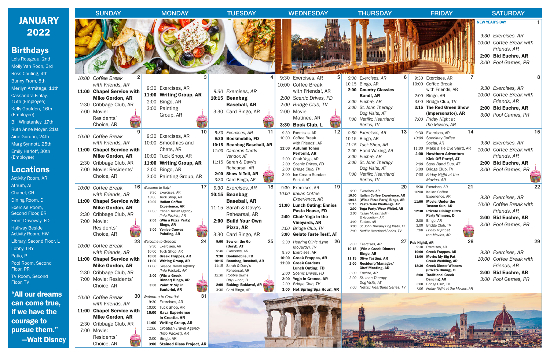|                                      | <b>SUNDAY</b>                                       | <b>MONDAY</b>                                          | <b>TUESDAY</b>                                   | <b>WEDNESDAY</b>                                      | <b>THURSDAY</b>                                                            | <b>FRIDAY</b>                                                          | <b>SATURDAY</b>                            |
|--------------------------------------|-----------------------------------------------------|--------------------------------------------------------|--------------------------------------------------|-------------------------------------------------------|----------------------------------------------------------------------------|------------------------------------------------------------------------|--------------------------------------------|
| <b>JANUARY</b>                       |                                                     |                                                        |                                                  |                                                       |                                                                            |                                                                        | <b>NEW YEAR'S DAY</b>                      |
| 2022                                 |                                                     |                                                        |                                                  |                                                       |                                                                            |                                                                        | 9:30 Exercises, AR                         |
|                                      |                                                     |                                                        |                                                  |                                                       |                                                                            |                                                                        | 10:00 Coffee Break with                    |
| <b>Birthdays</b>                     |                                                     |                                                        |                                                  |                                                       |                                                                            |                                                                        | Friends, AR                                |
| Lois Rougeau, 2nd                    |                                                     |                                                        |                                                  |                                                       |                                                                            |                                                                        | 2:00 Bid Euchre, AR<br>3:00 Pool Games, PR |
| Molly Van Roon, 3rd                  |                                                     |                                                        |                                                  |                                                       |                                                                            |                                                                        |                                            |
| Ross Couling, 4th<br>Bunny From, 5th | 10:00 Coffee Break                                  |                                                        |                                                  | 9:30 Exercises, AR                                    | 9:30 Exercises, AR                                                         | 9:30 Exercises, AR                                                     |                                            |
| Merilyn Armitage, 11th               | with Friends, AR                                    | 9:30 Exercises, AR                                     |                                                  | 10:00 Coffee Break                                    | 10:15 Bingo, AR                                                            | 10:00 Coffee Break                                                     | 9:30 Exercises, AR                         |
| Cassandra Finlay,                    | 11:00 Chapel Service with                           | 11:00 Writing Group, AR                                | 9:30 Exercises, AR                               | with Friends!, AR                                     | 2:00 Country Classics<br>Band!, AR                                         | with Friends, AR<br>2:00 Bingo, AR                                     | 10:00 Coffee Break with                    |
| 15th (Employee)                      | <b>Mike Gordon, AR</b><br>2:30 Cribbage Club, AR    | 2:00 Bingo, AR                                         | 10:15 Beanbag<br><b>Baseball, AR</b>             | 2:00 Scenic Drives, FD<br>2:00 Bridge Club, TV        | 3:00 Euchre, AR                                                            | 3:00 Bridge Club, TV                                                   | Friends, AR                                |
| Kelly Goulden, 16th                  | 7:00 Movie:                                         | 3:00 Painting                                          | 3:30 Card Bingo, AR                              | 2:00 Movie                                            | 3:00 St. John Therapy<br>Dog Visits, AT                                    | 3:15 The Red Green Show<br>(Impersonator), AR                          | 2:00 Bid Euchre, AR                        |
| (Employee)<br>Bill Winstanley, 17th  | Residents'                                          | Group, AR                                              |                                                  | Matinee, AR                                           | 7:00 Netflix: Heartland                                                    | 7:00 Friday Night at                                                   | 3:00 Pool Games, PR                        |
| Ruth Anne Moyer, 21st                | Choice, AR                                          |                                                        |                                                  | 3:30 Book Club, L                                     | Series, TV                                                                 | the Movies, AR                                                         |                                            |
| Aine Gordon, 24th                    | 10:00 Coffee Break                                  | 10<br>9:30 Exercises, AR                               | 11<br>9:30 Exercises, AR<br>9:30 Bookmobile, FD  | 12<br>9:30 Exercises, AR<br>10:00 Coffee Break        | 13<br>9:30 Exercises, AR<br>10:15 Bingo, AR                                | 14<br>9:30 Exercises, AR<br>10:00 Specialty Coffee                     | 15                                         |
| Marg Synnott, 25th                   | with Friends, AR                                    | 10:00 Smoothies and                                    | 10:15 Beanbag Baseball, AR                       | with Friends!, AR                                     | 11:15 Tuck Shop, AR                                                        | Social, AR                                                             | 9:30 Exercises, AR                         |
| Emily Harloff, 30th                  | 11:00 Chapel Service with<br><b>Mike Gordon, AR</b> | Chats, AR<br>10:00 Tuck Shop, AR                       | 11:00 Cameron Cards<br>Vendor, AT                | 11:00 Autumn Tones<br>Perform!, AR                    | 2:00 Hand Waxing, AR                                                       | 11:00 Make a Tie Dye Shirt!, AR<br>2:00 Hawthorn Adventure             | 10:00 Coffee Break with<br>Friends, AR     |
| (Employee)                           | 2:30 Cribbage Club, AR                              | 11:00 Writing Group, AR                                | 11:15 Sarah & Davy's                             | 2:00 Chair Yoga, AR<br>2:00 Scenic Drives, FD         | 3:00 Euchre, AR<br>3:00 St. John Therapy                                   | <b>Kick Off Party!, AT</b><br>2:00 Steel Band Duo, AT                  | 2:00 Bid Euchre, AR                        |
| <b>Locations</b>                     | 7:00 Movie: Residents'                              | 2:00 Bingo, AR                                         | Rehearsal, AR                                    | 2:00 Bridge Club, TV                                  | Dog Visits, AT                                                             | 3:00 Bridge Club, TV                                                   | 3:00 Pool Games, PR                        |
| <b>Activity Room, AR</b>             | Choice, AR                                          | 3:00 Painting Group, AR                                | 2:00 Show N Tell, AR<br>3:30 Card Bingo, AR      | 3:00 Ice Cream Sundae<br>Social, AT                   | 7:00 Netflix: Heartland<br>Series, TV                                      | 7:00 Friday Night at the<br>Movies, AR                                 |                                            |
| Atrium, AT                           | 10:00 Coffee Break                                  | $16$ Welcome to Italy!                                 | 18<br>9:30 Exercises, AR                         | 19<br>9:30 Exercises, AR                              | 20                                                                         | 21<br>9:30<br>Exercises, AR                                            | 22                                         |
| Chapel, CH                           | with Friends, AR                                    | 9:30 Exercises, AR<br>10:00 Tuck Shop, AR              | 10:15 Beanbag                                    | 10:00 Italian Coffee                                  | 9:30 Exercises, AR<br>10:00 Italian Coffee Experience, AR                  | 10:00 Italian Coffee<br>Experience, AR                                 | 9:30 Exercises, AR                         |
| Dining Room, D                       | 11:00 Chapel Service with                           | 10:00 Italian Coffee<br><b>Experience, AR</b>          | <b>Baseball, AR</b>                              | Experience, AR<br>11:00 Lunch Outing: Ennios          | 10:15 (Win a Pizza Party) Bingo, AR<br>11:15 Pasta Train Challenge, AR     | 11:00 Movie: Under the<br><b>Tuscan Sun, AR</b>                        | 10:00 Coffee Break with                    |
| Exercise Room,<br>Second Floor, ER   | <b>Mike Gordon, AR</b><br>2:30 Cribbage Club, AR    | 11:00 Italian Travel Agency                            | 11:15 Sarah & Davy's<br>Rehearsal, AR            | Pasta House, FD                                       | 2:00 Toga Party/Wear White!, AR<br>2:00 Italian Music: Violin              | 12:30 Private Dining: Pizza                                            | Friends, AR                                |
| Front Driveway, FD                   | 7:00 Movie:                                         | (Info Packet), AR<br>2:00 (Win a Pizza Party)          | 2:00 Build Your Own                              | 2:00 Chair Yoga in the<br><b>Vineyards, AR</b>        | & Accordion, AR<br>3:00 Euchre, AR                                         | <b>Party Winners, D</b><br>2:00 Bingo, AR                              | 2:00 Bid Euchre, AR                        |
| <b>Hallway Beside</b>                | Residents'                                          | Bingo, AR<br>3:00 Venice Canvas                        | Pizza, AR                                        | 2:00 Bridge Club, TV                                  | 3:00 St. John Therapy Dog Visits, AT<br>7:00 Netflix: Heartland Series, TV | 3:00 Bridge Club, TV<br>7:00 Friday Night at                           | 3:00 Pool Games, PR                        |
| <b>Activity Room, HW</b>             | Choice, AR                                          | Painting, AR                                           | 3:30 Card Bingo, AR                              | 3:00 Gelato Taste Test!, AT                           |                                                                            | the Movies, AR                                                         |                                            |
| Library, Second Floor, L             | 23<br>10:00 Coffee Break                            | 24<br>Welcome to Greece!<br>9:30 Exercises, AR         | 25<br>9:00 Sew on the Go<br>(Beryl), AT          | 26<br>9:30 Hearing Clinic (Lynn<br>McCurdy), TV       | 9:30 Exercises, AR                                                         | 28<br>27 Pub Night!, AR<br>9:30 Exercises, AR                          | 29                                         |
| Lobby, LBY<br>Patio, P               | with Friends, AR                                    | 10:00 Tuck Shop, AR<br>10:00 Greek Frappes, AR         | 9:30 Exercises, AR<br>9:30 Bookmobile, FD        | 9:30 Exercises, AR                                    | 10:15 (Win a Greek Dinner)<br>Bingo, AR                                    | <b>Greek Frappes, AR</b><br>10:00<br><b>Movie: My Big Fat</b><br>11:00 | 9:30 Exercises, AR                         |
| Pool Room, Second                    | 11:00 Chapel Service with                           | 11:00 Writing Group, AR                                | 10:15 Beanbag Baseball, AR                       | 10:00 Greek Frappes, AR<br>11:00 Greek Gardens        | 11:15 Olive Tasting, AR<br>2:00 Resident/Manager/                          | <b>Greek Wedding, AR</b>                                               | 10:00 Coffee Break with                    |
| Floor, PR                            | <b>Mike Gordon, AR</b><br>2:30 Cribbage Club, AR    | 11:00 Greece Travel Agency<br>(Info Packet), AR        | 11:15 Sarah & Davy's<br>Rehearsal, AR            | <b>Lunch Outing, FD</b><br>2:00 Scenic Drives, FD     | <b>Chef Meeting, AR</b><br>3:00 Euchre, AR                                 | 12:30 Greek Dinner Winners<br>(Private Dining), D                      | Friends, AR<br>2:00 Bid Euchre, AR         |
| <b>TV Room, Second</b>               | 7:00 Movie: Residents'                              | 2:00 (Win a Greek<br>Dinner) Bingo, AR                 | 12:30 Robbie Burns<br>Day Lunch, D               | 2:00 Yoga in Greece, AR                               | 3:00 St. John Therapy                                                      | 2:00 Traditional Greek<br>Dancing, AR                                  | 3:00 Pool Games, PR                        |
| Floor, TV                            | Choice, AR                                          | 3:00 Paint N' Sip in<br><b>WINDER</b><br>Santorini, AR | 2:00 Baking: Baklava!, AR<br>3:30 Card Bingo, AR | 2:00 Bridge Club, TV<br>3:00 Hot Spring Spa Hour!, AR | Dog Visits, AT<br>7:00 Netflix: Heartland Series, TV                       | 3:00 Bridge Club, TV<br>7:00 Friday Night at the Movies, AR            |                                            |
| <u>"All our dreams</u>               | 10:00 Coffee Break                                  | 31<br><b>30</b> Welcome to Croatia!                    |                                                  |                                                       |                                                                            |                                                                        |                                            |
| can come true,                       | with Friends, AR                                    | 9:30 Exercises, AR                                     |                                                  |                                                       |                                                                            |                                                                        |                                            |
| if we have the                       | 11:00 Chapel Service with                           | 10:00 Tuck Shop, AR<br>10:00 Kava Experience           |                                                  |                                                       |                                                                            |                                                                        |                                            |
| courage to                           | <b>Mike Gordon, AR</b>                              | in Croatia, AR<br>11:00 Writing Group, AR              |                                                  |                                                       |                                                                            |                                                                        |                                            |
| pursue them."                        | 2:30 Cribbage Club, AR<br>7:00 Movie:               | 11:00 Croatian Travel Agency                           |                                                  |                                                       |                                                                            |                                                                        |                                            |
| -Walt Disney                         | Residents'                                          | (Info Packet), AR<br>2:00 Bingo, AR                    |                                                  |                                                       |                                                                            |                                                                        |                                            |
|                                      | Choice, AR                                          | 3:00 Stained Glass Project, AR                         |                                                  |                                                       |                                                                            |                                                                        |                                            |

B<sub>irth</sub> Loi

Act

Lib<sup>1</sup>